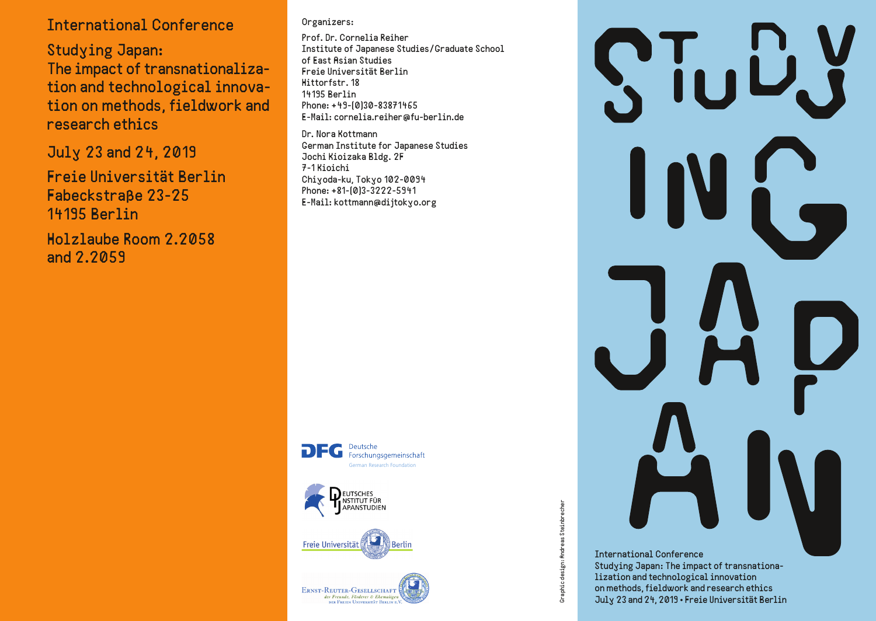# *International Conference*

*Studying Japan: The impact of transnationalization and technological innovation on methods, field work and research ethics*

*July 23 and 24, 2019*

*Freie Universität Berlin Fabeckstraße 23-25 14195 Berlin*

*Holzlaube Room 2.2058 and 2.2059*

### *Organizers:*

*Prof. Dr. Cornelia Reiher Institute of Japanese Studies/Graduate School of East Asian Studies Freie Universität Berlin Hittorfstr. 18 14195 Berlin Phone: +49-(0)30-83871465 E-Mail: cornelia.reiher@fu-berlin.de*

*Dr. Nora Kottmann German Institute for Japanese Studies Jochi Kioizaka Bldg. 2F 7-1 Kioichi Chiyoda-ku, Tokyo 102-0094 Phone: +81-(0)3-3222-5941 E-Mail: kottmann@dijtokyo.org*









# *International Conference*

Graphic design: Andreas Steinbrecher *Graphic design: Andreas Steinbrecher*

Studying Japan: The impact of transnationa*lization and technological innovation on methods, field work and research ethics July 23 and 24, 2019 • Freie Universität Berlin*